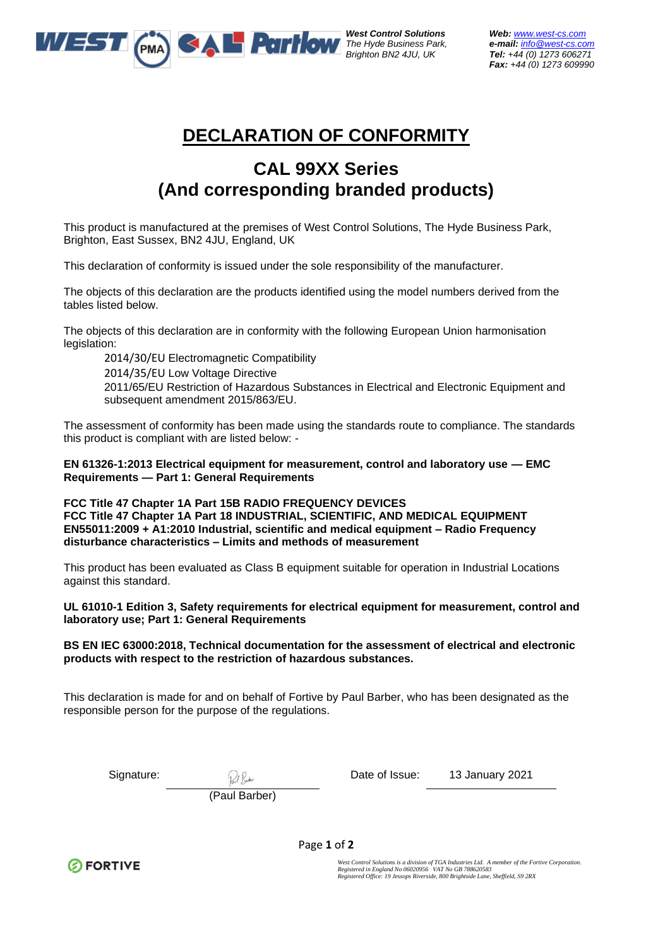

*West Control Solutions Web: [www.west-cs.com](http://www.west-cs.com/)* 

*The Hyde Business Park, e-mail: [info@west-cs.com](mailto:info@west-cs.com) Brighton BN2 4JU, UK Tel: +44 (0) 1273 606271 Fax: +44 (0) 1273 609990* 

## **DECLARATION OF CONFORMITY**

## **CAL 99XX Series (And corresponding branded products)**

This product is manufactured at the premises of West Control Solutions, The Hyde Business Park, Brighton, East Sussex, BN2 4JU, England, UK

This declaration of conformity is issued under the sole responsibility of the manufacturer.

The objects of this declaration are the products identified using the model numbers derived from the tables listed below.

The objects of this declaration are in conformity with the following European Union harmonisation legislation:

2014/30/EU Electromagnetic Compatibility

2014/35/EU Low Voltage Directive

2011/65/EU Restriction of Hazardous Substances in Electrical and Electronic Equipment and subsequent amendment 2015/863/EU.

The assessment of conformity has been made using the standards route to compliance. The standards this product is compliant with are listed below: -

**EN 61326-1:2013 Electrical equipment for measurement, control and laboratory use — EMC Requirements — Part 1: General Requirements**

**FCC Title 47 Chapter 1A Part 15B RADIO FREQUENCY DEVICES FCC Title 47 Chapter 1A Part 18 INDUSTRIAL, SCIENTIFIC, AND MEDICAL EQUIPMENT EN55011:2009 + A1:2010 Industrial, scientific and medical equipment – Radio Frequency disturbance characteristics – Limits and methods of measurement**

This product has been evaluated as Class B equipment suitable for operation in Industrial Locations against this standard.

## **UL 61010-1 Edition 3, Safety requirements for electrical equipment for measurement, control and laboratory use; Part 1: General Requirements**

## **BS EN IEC 63000:2018, Technical documentation for the assessment of electrical and electronic products with respect to the restriction of hazardous substances.**

This declaration is made for and on behalf of Fortive by Paul Barber, who has been designated as the responsible person for the purpose of the regulations.

Signature: 2021 and  $\mathcal{O}(n)$  be the Date of Issue: 13 January 2021

(Paul Barber)



Page **1** of **2**

West Control Solutions is a division of TGA Industries Ltd. A member of the Fortive Corporation.<br>Registered in England No 06020956 VAT No GB 788620583<br>Registered Office: 19 Jessops Riverside, 800 Brightside Lane, Sheffield